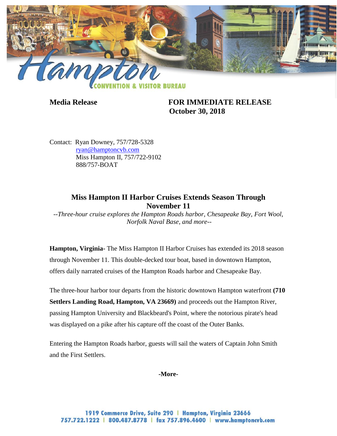

**Media Release FOR IMMEDIATE RELEASE October 30, 2018**

Contact: Ryan Downey, 757/728-5328 [ryan@hamptoncvb.com](mailto:ryan@hamptoncvb.com) Miss Hampton II, 757/722-9102 888/757-BOAT

# **Miss Hampton II Harbor Cruises Extends Season Through November 11**

*--Three-hour cruise explores the Hampton Roads harbor, Chesapeake Bay, Fort Wool, Norfolk Naval Base, and more--*

**Hampton, Virginia-** The Miss Hampton II Harbor Cruises has extended its 2018 season through November 11. This double-decked tour boat, based in downtown Hampton, offers daily narrated cruises of the Hampton Roads harbor and Chesapeake Bay.

The three-hour harbor tour departs from the historic downtown Hampton waterfront **(710 Settlers Landing Road, Hampton, VA 23669)** and proceeds out the Hampton River, passing Hampton University and Blackbeard's Point, where the notorious pirate's head was displayed on a pike after his capture off the coast of the Outer Banks.

Entering the Hampton Roads harbor, guests will sail the waters of Captain John Smith and the First Settlers.

**-More-**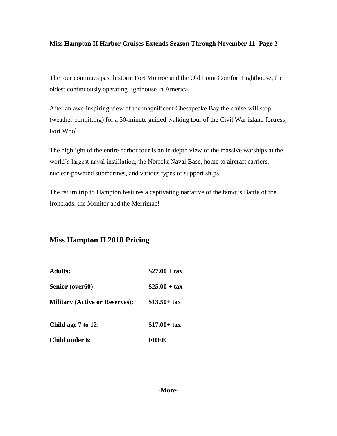### **Miss Hampton II Harbor Cruises Extends Season Through November 11- Page 2**

The tour continues past historic Fort Monroe and the Old Point Comfort Lighthouse, the oldest continuously operating lighthouse in America.

After an awe-inspiring view of the magnificent Chesapeake Bay the cruise will stop (weather permitting) for a 30-minute guided walking tour of the Civil War island fortress, Fort Wool.

The highlight of the entire harbor tour is an in-depth view of the massive warships at the world's largest naval instillation, the Norfolk Naval Base, home to aircraft carriers, nuclear-powered submarines, and various types of support ships.

The return trip to Hampton features a captivating narrative of the famous Battle of the Ironclads: the Monitor and the Merrimac!

## **Miss Hampton II 2018 Pricing**

| <b>Adults:</b>                        | $$27.00 + tax$         |
|---------------------------------------|------------------------|
| Senior (over60):                      | $\$25.00 + \text{tax}$ |
| <b>Military (Active or Reserves):</b> | $$13.50 + tax$         |
| Child age 7 to 12:                    | $$17.00 + tax$         |
| Child under 6:                        | FREE                   |